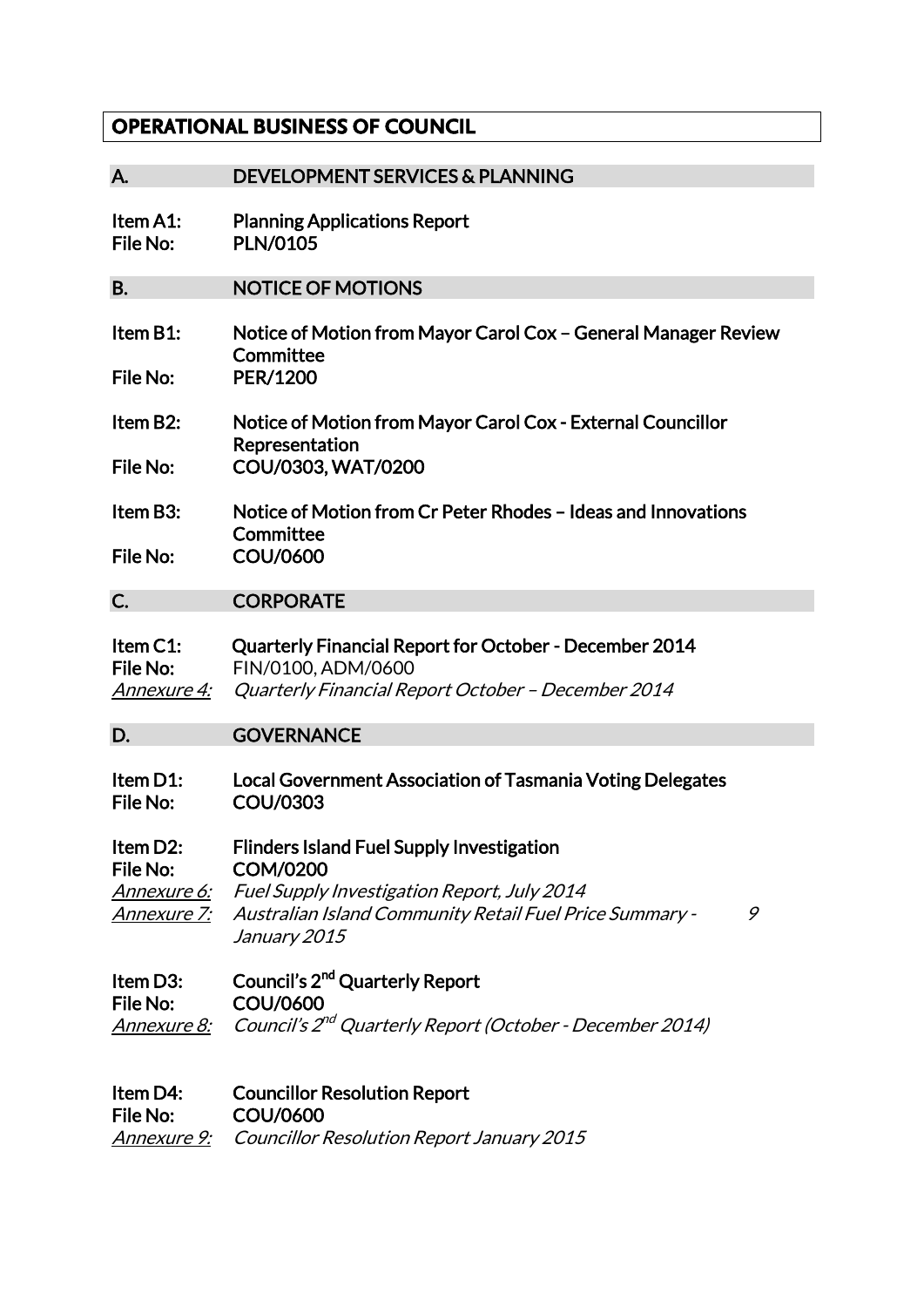## **OPERATIONAL BUSINESS OF COUNCIL**

| А.                                                        | <b>DEVELOPMENT SERVICES &amp; PLANNING</b>                                                                                                                                                                       |
|-----------------------------------------------------------|------------------------------------------------------------------------------------------------------------------------------------------------------------------------------------------------------------------|
| Item A1:<br>File No:                                      | <b>Planning Applications Report</b><br><b>PLN/0105</b>                                                                                                                                                           |
| В.                                                        | <b>NOTICE OF MOTIONS</b>                                                                                                                                                                                         |
| Item B1:<br>File No:                                      | Notice of Motion from Mayor Carol Cox - General Manager Review<br>Committee<br>PER/1200                                                                                                                          |
| Item B2:<br>File No:                                      | Notice of Motion from Mayor Carol Cox - External Councillor<br>Representation<br>COU/0303, WAT/0200                                                                                                              |
| Item B3:<br>File No:                                      | Notice of Motion from Cr Peter Rhodes – Ideas and Innovations<br>Committee<br><b>COU/0600</b>                                                                                                                    |
| C.                                                        | <b>CORPORATE</b>                                                                                                                                                                                                 |
| Item C1:<br>File No:<br><u>Annexure 4:</u>                | <b>Quarterly Financial Report for October - December 2014</b><br>FIN/0100, ADM/0600<br>Quarterly Financial Report October - December 2014                                                                        |
| D.                                                        | <b>GOVERNANCE</b>                                                                                                                                                                                                |
| Item D1:<br>File No:                                      | <b>Local Government Association of Tasmania Voting Delegates</b><br><b>COU/0303</b>                                                                                                                              |
| Item D2:<br>File No:<br><u>Annexure 6:</u><br>Annexure 7: | <b>Flinders Island Fuel Supply Investigation</b><br><b>COM/0200</b><br><b>Fuel Supply Investigation Report, July 2014</b><br><b>Australian Island Community Retail Fuel Price Summary -</b><br>9<br>January 2015 |
| Item D3:<br><b>File No:</b><br><u>Annexure 8:</u>         | Council's 2 <sup>nd</sup> Quarterly Report<br><b>COU/0600</b><br>Council's 2 <sup>nd</sup> Quarterly Report (October - December 2014)                                                                            |
| Item D4:<br><b>File No:</b><br><u>Annexure 9:</u>         | <b>Councillor Resolution Report</b><br><b>COU/0600</b><br>Councillor Resolution Report January 2015                                                                                                              |